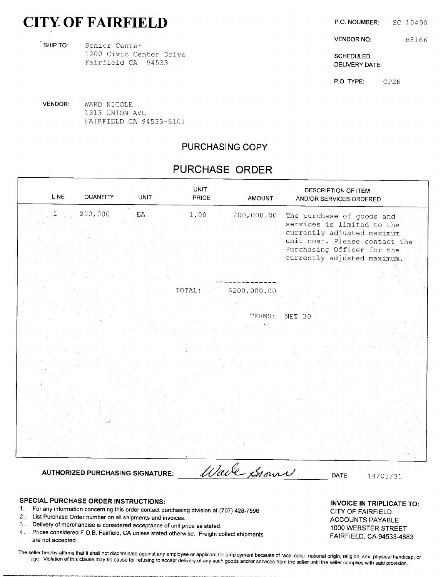# CITY OF FAIRFIELD P.O. NOUMBER: SC 10490

SHIP TO: Senior Center 1200 Civic Center Drive SCHEDULED Fairfield CA 94533 DELIVERY DATE:

VENDOR NO: B8166

P.O. TYPE: OPEN

VENDOR: WARD NICOLE 1313 UNION AVE FAIRFIELD CA 94533-5101

### PURCHASING COPY

# PURCHASE ORDER

| 200,000<br>$\mathop{\rm EA}\nolimits$<br>1.00<br>200,000.00<br>The purchase of goods and<br>services is limited to the<br>currently adjusted maximum<br>unit cost. Please contact the<br>Purchasing Officer for the<br>currently adjusted maximum.<br>TOTAL:<br>\$200,000.00<br>TERMS:<br>NET 30 |  |
|--------------------------------------------------------------------------------------------------------------------------------------------------------------------------------------------------------------------------------------------------------------------------------------------------|--|
|                                                                                                                                                                                                                                                                                                  |  |
|                                                                                                                                                                                                                                                                                                  |  |
|                                                                                                                                                                                                                                                                                                  |  |
|                                                                                                                                                                                                                                                                                                  |  |
|                                                                                                                                                                                                                                                                                                  |  |
|                                                                                                                                                                                                                                                                                                  |  |
|                                                                                                                                                                                                                                                                                                  |  |
|                                                                                                                                                                                                                                                                                                  |  |
|                                                                                                                                                                                                                                                                                                  |  |

## SPECIAL PURCHASE ORDER INSTRUCTIONS: INVOICE IN TRIPLICATE TO:

- 1. For any information concerning this order contact purchasing division at (707) 428-7596 CITY OF FAIRFIELD
- 2. List Purchase Order number on all shipments and invoices.<br>ACCOUNTS PAYABLE
- 3. Delivery of merchandise is considered acceptance of unit price as stated. 1000 WEBSTER STREET
- 4. Prices considered F.O.B. Fairfield, CA unless stated otherwise. Freight collect shipments FAIRFIELD, CA 94533-4883 are not accepted.

The seller hereby affirms that it shall not discriminate against any employee or applicant for employment because of race, color, national origin, religion, sex, physical handicap, or age. Violation of this clause may be cause for refusing to accept delivery of any such goods and/or services from the seller until the seller complies with said provision.